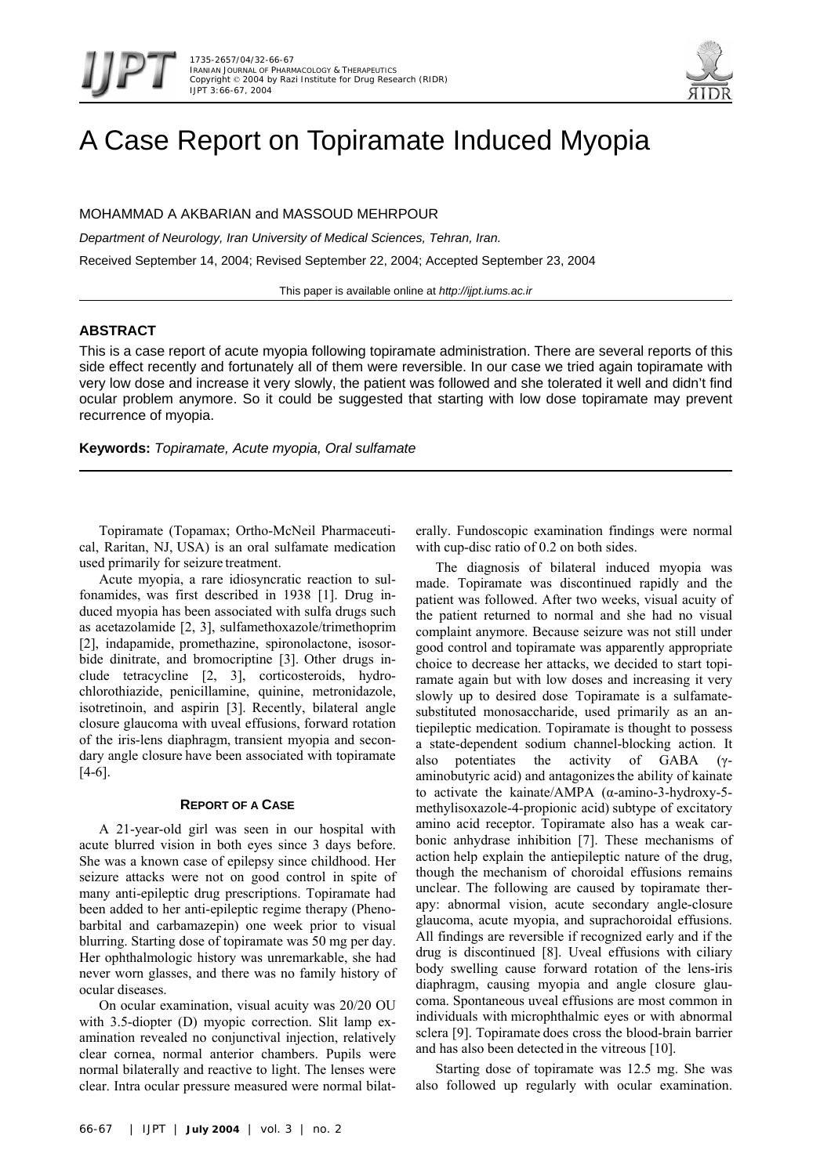

# A Case Report on Topiramate Induced Myopia

MOHAMMAD A AKBARIAN and MASSOUD MEHRPOUR

*Department of Neurology, Iran University of Medical Sciences, Tehran, Iran.* Received September 14, 2004; Revised September 22, 2004; Accepted September 23, 2004

This paper is available online at *http://ijpt.iums.ac.ir*

## **ABSTRACT**

This is a case report of acute myopia following topiramate administration. There are several reports of this side effect recently and fortunately all of them were reversible. In our case we tried again topiramate with very low dose and increase it very slowly, the patient was followed and she tolerated it well and didn't find ocular problem anymore. So it could be suggested that starting with low dose topiramate may prevent recurrence of myopia.

**Keywords:** *Topiramate, Acute myopia, Oral sulfamate* 

Topiramate (Topamax; Ortho-McNeil Pharmaceutical, Raritan, NJ, USA) is an oral sulfamate medication used primarily for seizure treatment.

Acute myopia, a rare idiosyncratic reaction to sulfonamides, was first described in 1938 [\[1\]](#page-1-0). Drug induced myopia has been associated with sulfa drugs such as acetazolamide [2, [3\]](#page-1-2), sulfamethoxazole/trimethoprim [\[ 2\]](#page-1-1), indapamide, promethazine, spironolactone, isosorbide dinitrate, and bromocriptine [\[3\]](#page-1-2). Other drugs include tetracycline [[2,](#page-1-1) [3\]](#page-1-2), corticosteroids, hydrochlorothiazide, penicillamine, quinine, metronidazole, isotretinoin, and aspirin [\[3\]](#page-1-2). Recently, bilateral angle closure glaucoma with uveal effusions, forward rotation of the iris-lens diaphragm, transient myopia and secondary angle closure have been associated with topiramate  $[4-6]$ .

## **REPORT OF A CASE**

A 21-year-old girl was seen in our hospital with acute blurred vision in both eyes since 3 days before. She was a known case of epilepsy since childhood. Her seizure attacks were not on good control in spite of many anti-epileptic drug prescriptions. Topiramate had been added to her anti-epileptic regime therapy (Phenobarbital and carbamazepin) one week prior to visual blurring. Starting dose of topiramate was 50 mg per day. Her ophthalmologic history was unremarkable, she had never worn glasses, and there was no family history of ocular diseases.

On ocular examination, visual acuity was 20/20 OU with 3.5-diopter (D) myopic correction. Slit lamp examination revealed no conjunctival injection, relatively clear cornea, normal anterior chambers. Pupils were normal bilaterally and reactive to light. The lenses were clear. Intra ocular pressure measured were normal bilaterally. Fundoscopic examination findings were normal with cup-disc ratio of 0.2 on both sides.

The diagnosis of bilateral induced myopia was made. Topiramate was discontinued rapidly and the patient was followed. After two weeks, visual acuity of the patient returned to normal and she had no visual complaint anymore. Because seizure was not still under good control and topiramate was apparently appropriate choice to decrease her attacks, we decided to start topiramate again but with low doses and increasing it very slowly up to desired dose Topiramate is a sulfamatesubstituted monosaccharide, used primarily as an antiepileptic medication. Topiramate is thought to possess a state-dependent sodium channel-blocking action. It also potentiates the activity of GABA (γaminobutyric acid) and antagonizesthe ability of kainate to activate the kainate/AMPA (α-amino-3-hydroxy-5 methylisoxazole-4-propionic acid) subtype of excitatory amino acid receptor. Topiramate also has a weak carbonic anhydrase inhibition [7]. These mechanisms of action help explain the antiepileptic nature of the drug, though the mechanism of choroidal effusions remains unclear. The following are caused by topiramate therapy: abnormal vision, acute secondary angle-closure glaucoma, acute myopia, and suprachoroidal effusions. All findings are reversible if recognized early and if the drug is discontinued [\[8\]](#page-1-6). Uveal effusions with ciliary body swelling cause forward rotation of the lens-iris diaphragm, causing myopia and angle closure glaucoma. Spontaneous uveal effusions are most common in individuals with microphthalmic eyes or with abnormal sclera [\[9\]](#page-1-7). Topiramate does cross the blood-brain barrier and has also been detected in the vitreous [ [10\]](#page-1-8).

Starting dose of topiramate was 12.5 mg. She was also followed up regularly with ocular examination.